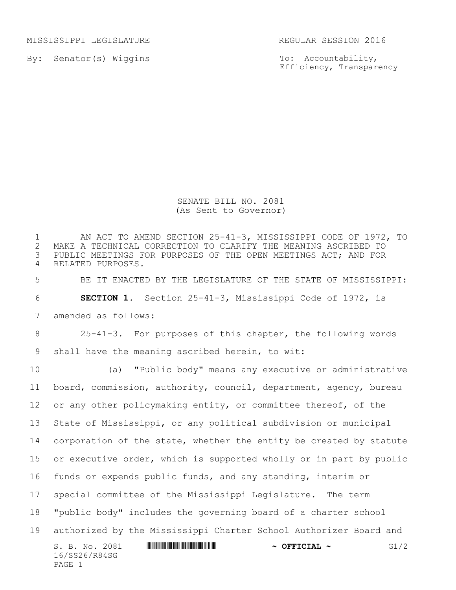MISSISSIPPI LEGISLATURE REGULAR SESSION 2016

By: Senator(s) Wiggins

To: Accountability, Efficiency, Transparency

SENATE BILL NO. 2081 (As Sent to Governor)

S. B. No. 2081 \*SS26/R84SG\* **~ OFFICIAL ~** G1/2 16/SS26/R84SG PAGE 1 1 AN ACT TO AMEND SECTION 25-41-3, MISSISSIPPI CODE OF 1972, TO<br>2 MAKE A TECHNICAL CORRECTION TO CLARIFY THE MEANING ASCRIBED TO 2 MAKE A TECHNICAL CORRECTION TO CLARIFY THE MEANING ASCRIBED TO<br>3 PUBLIC MEETINGS FOR PURPOSES OF THE OPEN MEETINGS ACT; AND FOR PUBLIC MEETINGS FOR PURPOSES OF THE OPEN MEETINGS ACT; AND FOR RELATED PURPOSES. BE IT ENACTED BY THE LEGISLATURE OF THE STATE OF MISSISSIPPI: **SECTION 1.** Section 25-41-3, Mississippi Code of 1972, is amended as follows: 25-41-3. For purposes of this chapter, the following words shall have the meaning ascribed herein, to wit: (a) "Public body" means any executive or administrative board, commission, authority, council, department, agency, bureau or any other policymaking entity, or committee thereof, of the State of Mississippi, or any political subdivision or municipal 14 corporation of the state, whether the entity be created by statute 15 or executive order, which is supported wholly or in part by public funds or expends public funds, and any standing, interim or special committee of the Mississippi Legislature. The term "public body" includes the governing board of a charter school authorized by the Mississippi Charter School Authorizer Board and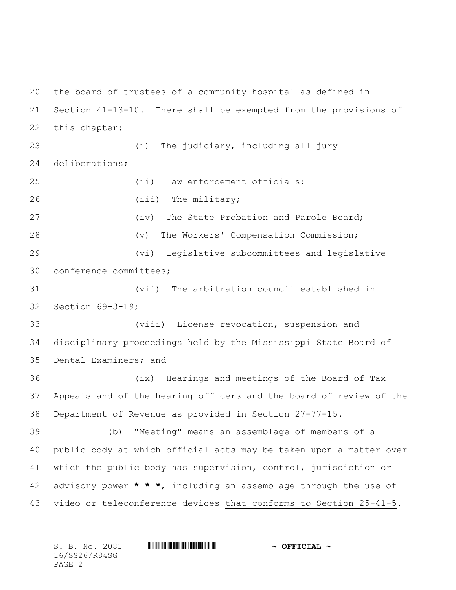the board of trustees of a community hospital as defined in Section 41-13-10. There shall be exempted from the provisions of this chapter: (i) The judiciary, including all jury deliberations; 25 (ii) Law enforcement officials; 26 (iii) The military; 27 (iv) The State Probation and Parole Board; (v) The Workers' Compensation Commission; (vi) Legislative subcommittees and legislative conference committees; (vii) The arbitration council established in Section 69-3-19; (viii) License revocation, suspension and disciplinary proceedings held by the Mississippi State Board of Dental Examiners; and (ix) Hearings and meetings of the Board of Tax Appeals and of the hearing officers and the board of review of the Department of Revenue as provided in Section 27-77-15. (b) "Meeting" means an assemblage of members of a public body at which official acts may be taken upon a matter over which the public body has supervision, control, jurisdiction or advisory power **\* \* \***, including an assemblage through the use of video or teleconference devices that conforms to Section 25-41-5.

S. B. No. 2081 \*SS26/R84SG\* **~ OFFICIAL ~** 16/SS26/R84SG PAGE 2